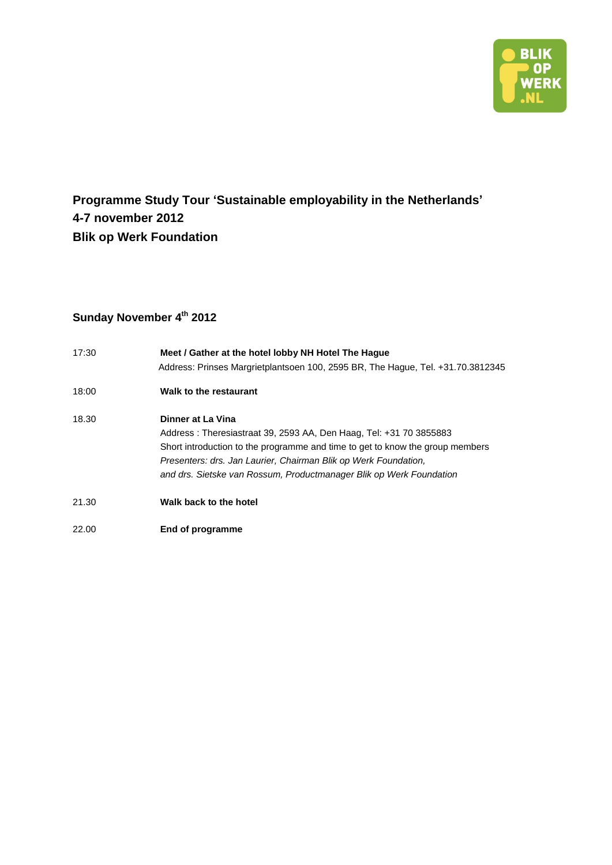

### **Programme Study Tour 'Sustainable employability in the Netherlands' 4-7 november 2012 Blik op Werk Foundation**

### **Sunday November 4th 2012**

| 17:30 | Meet / Gather at the hotel lobby NH Hotel The Haque<br>Address: Prinses Margrietplantsoen 100, 2595 BR, The Hague, Tel. +31.70.3812345                                                                                                                                                                             |
|-------|--------------------------------------------------------------------------------------------------------------------------------------------------------------------------------------------------------------------------------------------------------------------------------------------------------------------|
| 18:00 | Walk to the restaurant                                                                                                                                                                                                                                                                                             |
| 18.30 | Dinner at La Vina<br>Address: Theresiastraat 39, 2593 AA, Den Haag, Tel: +31 70 3855883<br>Short introduction to the programme and time to get to know the group members<br>Presenters: drs. Jan Laurier, Chairman Blik op Werk Foundation,<br>and drs. Sietske van Rossum, Productmanager Blik op Werk Foundation |
| 21.30 | Walk back to the hotel                                                                                                                                                                                                                                                                                             |

22.00 **End of programme**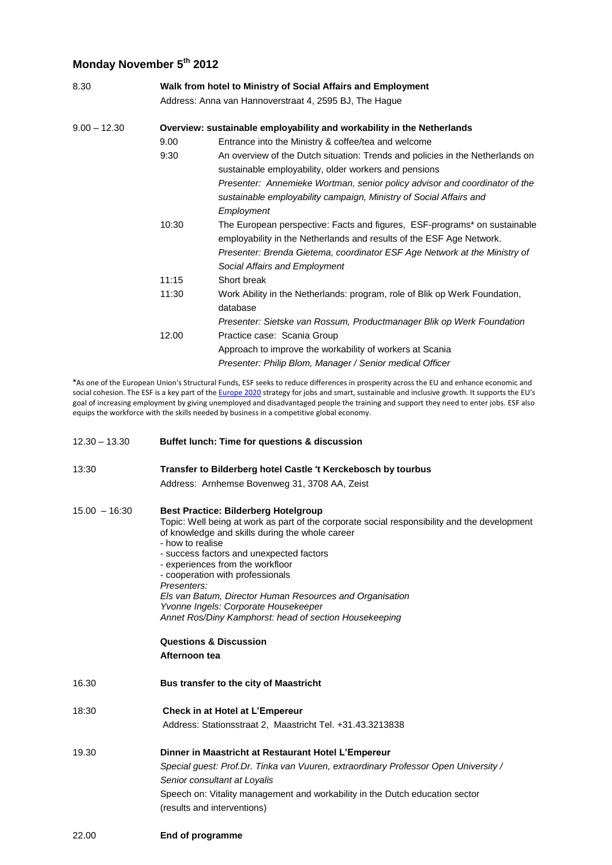#### **Monday November 5th 2012**

| 8.30           | Walk from hotel to Ministry of Social Affairs and Employment<br>Address: Anna van Hannoverstraat 4, 2595 BJ, The Hague |                                                                                                                                                                                                                                                                 |  |  |  |
|----------------|------------------------------------------------------------------------------------------------------------------------|-----------------------------------------------------------------------------------------------------------------------------------------------------------------------------------------------------------------------------------------------------------------|--|--|--|
| $9.00 - 12.30$ | Overview: sustainable employability and workability in the Netherlands                                                 |                                                                                                                                                                                                                                                                 |  |  |  |
|                | 9.00                                                                                                                   | Entrance into the Ministry & coffee/tea and welcome                                                                                                                                                                                                             |  |  |  |
|                | 9:30                                                                                                                   | An overview of the Dutch situation: Trends and policies in the Netherlands on<br>sustainable employability, older workers and pensions                                                                                                                          |  |  |  |
|                |                                                                                                                        | Presenter: Annemieke Wortman, senior policy advisor and coordinator of the<br>sustainable employability campaign, Ministry of Social Affairs and<br>Employment                                                                                                  |  |  |  |
|                | 10:30                                                                                                                  | The European perspective: Facts and figures, ESF-programs* on sustainable<br>employability in the Netherlands and results of the ESF Age Network.<br>Presenter: Brenda Gietema, coordinator ESF Age Network at the Ministry of<br>Social Affairs and Employment |  |  |  |
|                | 11:15                                                                                                                  | Short break                                                                                                                                                                                                                                                     |  |  |  |
|                | 11:30                                                                                                                  | Work Ability in the Netherlands: program, role of Blik op Werk Foundation,<br>database<br>Presenter: Sietske van Rossum, Productmanager Blik op Werk Foundation                                                                                                 |  |  |  |
|                | 12.00                                                                                                                  | Practice case: Scania Group<br>Approach to improve the workability of workers at Scania<br>Presenter: Philip Blom, Manager / Senior medical Officer                                                                                                             |  |  |  |

\*As one of the European Union's Structural Funds, ESF seeks to reduce differences in prosperity across the EU and enhance economic and social cohesion. The ESF is a key part of the [Europe 2020](http://ec.europa.eu/eu2020/index_en.htm) strategy for jobs and smart, sustainable and inclusive growth. It supports the EU's goal of increasing employment by giving unemployed and disadvantaged people the training and support they need to enter jobs. ESF also equips the workforce with the skills needed by business in a competitive global economy.

| $12.30 - 13.30$ | Buffet lunch: Time for questions & discussion                                                                                                                                                                                                                                                                                                                                                                                                                                                                                                                             |  |  |
|-----------------|---------------------------------------------------------------------------------------------------------------------------------------------------------------------------------------------------------------------------------------------------------------------------------------------------------------------------------------------------------------------------------------------------------------------------------------------------------------------------------------------------------------------------------------------------------------------------|--|--|
| 13:30           | Transfer to Bilderberg hotel Castle 't Kerckebosch by tourbus                                                                                                                                                                                                                                                                                                                                                                                                                                                                                                             |  |  |
|                 | Address: Arnhemse Bovenweg 31, 3708 AA, Zeist                                                                                                                                                                                                                                                                                                                                                                                                                                                                                                                             |  |  |
| $15.00 - 16:30$ | <b>Best Practice: Bilderberg Hotelgroup</b><br>Topic: Well being at work as part of the corporate social responsibility and the development<br>of knowledge and skills during the whole career<br>- how to realise<br>- success factors and unexpected factors<br>- experiences from the workfloor<br>- cooperation with professionals<br>Presenters:<br>Els van Batum, Director Human Resources and Organisation<br>Yvonne Ingels: Corporate Housekeeper<br>Annet Ros/Diny Kamphorst: head of section Housekeeping<br><b>Questions &amp; Discussion</b><br>Afternoon tea |  |  |
| 16.30           | Bus transfer to the city of Maastricht                                                                                                                                                                                                                                                                                                                                                                                                                                                                                                                                    |  |  |
| 18:30           | Check in at Hotel at L'Empereur<br>Address: Stationsstraat 2, Maastricht Tel. +31.43.3213838                                                                                                                                                                                                                                                                                                                                                                                                                                                                              |  |  |
| 19.30           | Dinner in Maastricht at Restaurant Hotel L'Empereur<br>Special guest: Prof.Dr. Tinka van Vuuren, extraordinary Professor Open University /<br>Senior consultant at Loyalis<br>Speech on: Vitality management and workability in the Dutch education sector<br>(results and interventions)                                                                                                                                                                                                                                                                                 |  |  |
| ∩∩ רר           | End of programme                                                                                                                                                                                                                                                                                                                                                                                                                                                                                                                                                          |  |  |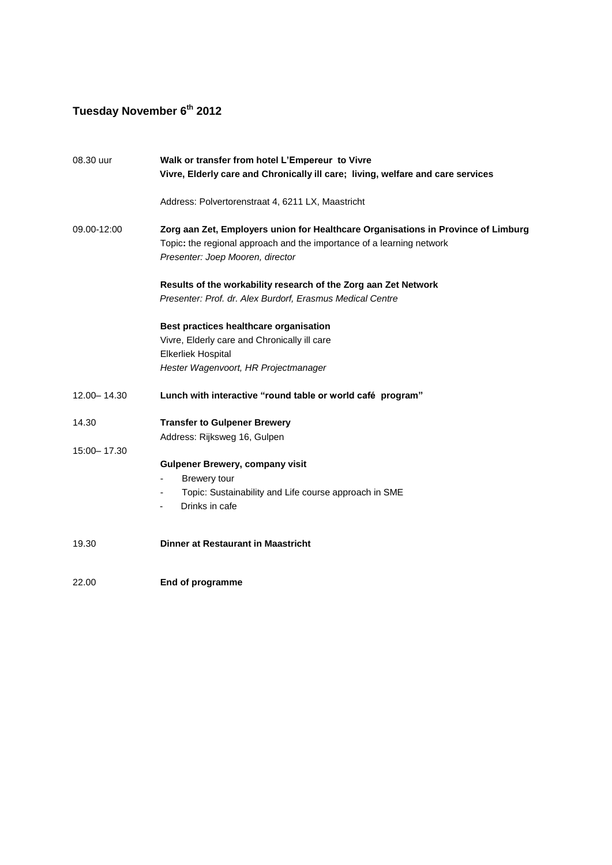# **Tuesday November 6th 2012**

| 08.30 uur     | Walk or transfer from hotel L'Empereur to Vivre                                   |  |  |  |
|---------------|-----------------------------------------------------------------------------------|--|--|--|
|               | Vivre, Elderly care and Chronically ill care; living, welfare and care services   |  |  |  |
|               | Address: Polvertorenstraat 4, 6211 LX, Maastricht                                 |  |  |  |
| 09.00-12:00   | Zorg aan Zet, Employers union for Healthcare Organisations in Province of Limburg |  |  |  |
|               | Topic: the regional approach and the importance of a learning network             |  |  |  |
|               | Presenter: Joep Mooren, director                                                  |  |  |  |
|               | Results of the workability research of the Zorg aan Zet Network                   |  |  |  |
|               | Presenter: Prof. dr. Alex Burdorf, Erasmus Medical Centre                         |  |  |  |
|               | Best practices healthcare organisation                                            |  |  |  |
|               | Vivre, Elderly care and Chronically ill care                                      |  |  |  |
|               | <b>Elkerliek Hospital</b>                                                         |  |  |  |
|               | Hester Wagenvoort, HR Projectmanager                                              |  |  |  |
| 12.00 - 14.30 | Lunch with interactive "round table or world café program"                        |  |  |  |
| 14.30         | <b>Transfer to Gulpener Brewery</b>                                               |  |  |  |
|               | Address: Rijksweg 16, Gulpen                                                      |  |  |  |
| 15:00 - 17.30 |                                                                                   |  |  |  |
|               | <b>Gulpener Brewery, company visit</b>                                            |  |  |  |
|               | Brewery tour                                                                      |  |  |  |
|               | Topic: Sustainability and Life course approach in SME                             |  |  |  |
|               | Drinks in cafe                                                                    |  |  |  |
| 19.30         | <b>Dinner at Restaurant in Maastricht</b>                                         |  |  |  |
| 22.00         | End of programme                                                                  |  |  |  |